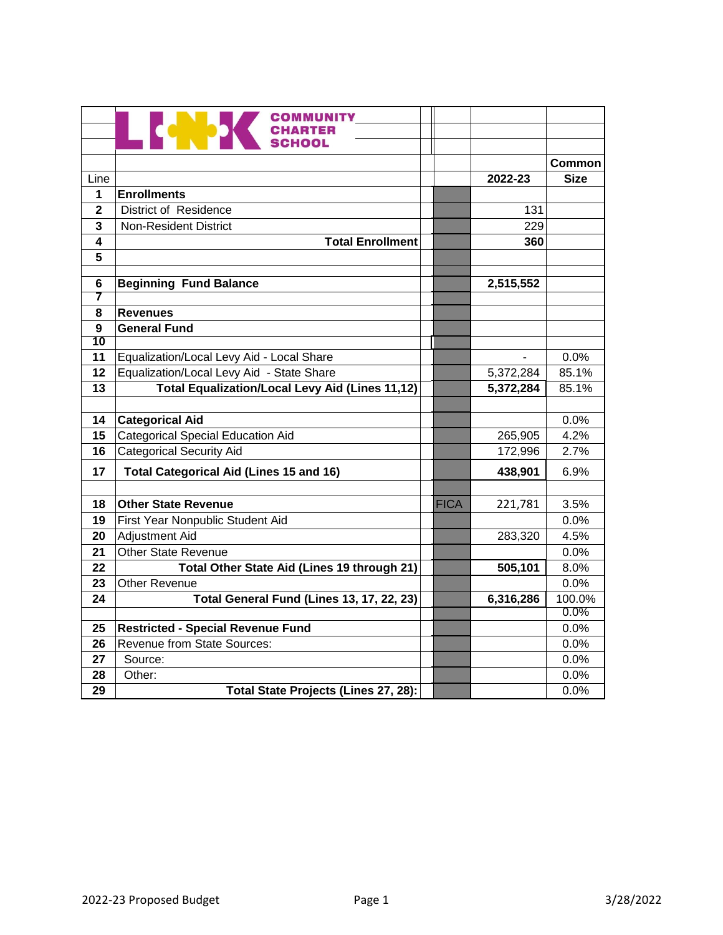|                 | <b>COMMUNITY</b>                                       |             |           |        |
|-----------------|--------------------------------------------------------|-------------|-----------|--------|
|                 | <b>CHARTER</b><br>an an S<br>SCHOOL                    |             |           |        |
|                 |                                                        |             |           |        |
|                 |                                                        |             |           | Common |
| Line            |                                                        |             | 2022-23   | Size   |
| 1               | <b>Enrollments</b>                                     |             |           |        |
| $\mathbf{2}$    | <b>District of Residence</b>                           |             | 131       |        |
| 3               | <b>Non-Resident District</b>                           |             | 229       |        |
| 4               | <b>Total Enrollment</b>                                |             | 360       |        |
| 5               |                                                        |             |           |        |
| 6               | <b>Beginning Fund Balance</b>                          |             | 2,515,552 |        |
| 7               |                                                        |             |           |        |
| 8               | <b>Revenues</b>                                        |             |           |        |
| 9               | <b>General Fund</b>                                    |             |           |        |
| $\overline{10}$ |                                                        |             |           |        |
| 11              | Equalization/Local Levy Aid - Local Share              |             |           | 0.0%   |
| 12              | Equalization/Local Levy Aid - State Share              |             | 5,372,284 | 85.1%  |
| 13              | <b>Total Equalization/Local Levy Aid (Lines 11,12)</b> |             | 5,372,284 | 85.1%  |
|                 |                                                        |             |           |        |
| 14              | <b>Categorical Aid</b>                                 |             |           | 0.0%   |
| 15              | <b>Categorical Special Education Aid</b>               |             | 265,905   | 4.2%   |
| 16              | <b>Categorical Security Aid</b>                        |             | 172,996   | 2.7%   |
| 17              | <b>Total Categorical Aid (Lines 15 and 16)</b>         |             | 438,901   | 6.9%   |
|                 |                                                        |             |           |        |
| 18              | <b>Other State Revenue</b>                             | <b>FICA</b> | 221,781   | 3.5%   |
| 19              | First Year Nonpublic Student Aid                       |             |           | 0.0%   |
| 20              | <b>Adjustment Aid</b>                                  |             | 283,320   | 4.5%   |
| 21              | <b>Other State Revenue</b>                             |             |           | 0.0%   |
| 22              | Total Other State Aid (Lines 19 through 21)            |             | 505,101   | 8.0%   |
| 23              | <b>Other Revenue</b>                                   |             |           | 0.0%   |
| 24              | Total General Fund (Lines 13, 17, 22, 23)              |             | 6,316,286 | 100.0% |
|                 |                                                        |             |           | 0.0%   |
| 25              | <b>Restricted - Special Revenue Fund</b>               |             |           | 0.0%   |
| 26              | Revenue from State Sources:                            |             |           | 0.0%   |
| 27              | Source:                                                |             |           | 0.0%   |
| 28              | Other:                                                 |             |           | 0.0%   |
| 29              | Total State Projects (Lines 27, 28):                   |             |           | 0.0%   |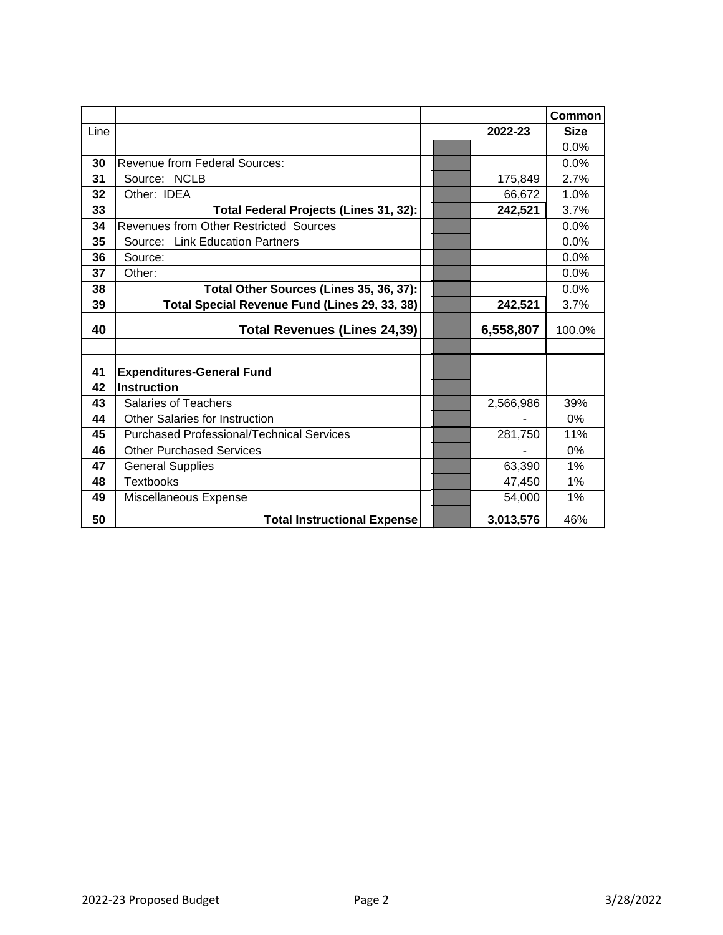|      |                                                  |           | <b>Common</b> |
|------|--------------------------------------------------|-----------|---------------|
| Line |                                                  | 2022-23   | <b>Size</b>   |
|      |                                                  |           | 0.0%          |
| 30   | <b>Revenue from Federal Sources:</b>             |           | 0.0%          |
| 31   | Source: NCLB                                     | 175,849   | 2.7%          |
| 32   | Other: IDEA                                      | 66,672    | 1.0%          |
| 33   | Total Federal Projects (Lines 31, 32):           | 242,521   | 3.7%          |
| 34   | Revenues from Other Restricted Sources           |           | 0.0%          |
| 35   | Source: Link Education Partners                  |           | 0.0%          |
| 36   | Source:                                          |           | 0.0%          |
| 37   | Other:                                           |           | 0.0%          |
| 38   | Total Other Sources (Lines 35, 36, 37):          |           | 0.0%          |
| 39   | Total Special Revenue Fund (Lines 29, 33, 38)    | 242,521   | 3.7%          |
| 40   | <b>Total Revenues (Lines 24,39)</b>              | 6,558,807 | 100.0%        |
|      |                                                  |           |               |
| 41   | <b>Expenditures-General Fund</b>                 |           |               |
| 42   | <b>Instruction</b>                               |           |               |
| 43   | <b>Salaries of Teachers</b>                      | 2,566,986 | 39%           |
| 44   | Other Salaries for Instruction                   |           | $0\%$         |
| 45   | <b>Purchased Professional/Technical Services</b> | 281,750   | 11%           |
| 46   | <b>Other Purchased Services</b>                  |           | $0\%$         |
| 47   | <b>General Supplies</b>                          | 63,390    | 1%            |
| 48   | <b>Textbooks</b>                                 | 47,450    | 1%            |
| 49   | Miscellaneous Expense                            | 54,000    | 1%            |
| 50   | <b>Total Instructional Expense</b>               | 3,013,576 | 46%           |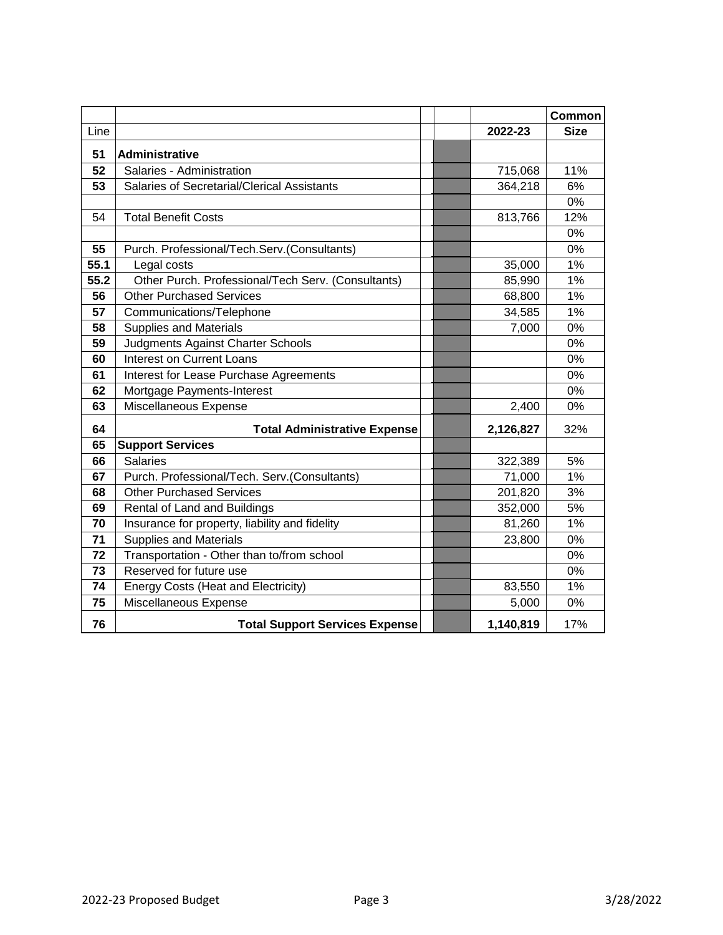|      |                                                    |           | <b>Common</b> |
|------|----------------------------------------------------|-----------|---------------|
| Line |                                                    | 2022-23   | <b>Size</b>   |
| 51   | <b>Administrative</b>                              |           |               |
| 52   | Salaries - Administration                          | 715,068   | 11%           |
| 53   | Salaries of Secretarial/Clerical Assistants        | 364,218   | 6%            |
|      |                                                    |           | 0%            |
| 54   | <b>Total Benefit Costs</b>                         | 813,766   | 12%           |
|      |                                                    |           | 0%            |
| 55   | Purch. Professional/Tech.Serv.(Consultants)        |           | 0%            |
| 55.1 | Legal costs                                        | 35,000    | 1%            |
| 55.2 | Other Purch. Professional/Tech Serv. (Consultants) | 85,990    | 1%            |
| 56   | <b>Other Purchased Services</b>                    | 68,800    | 1%            |
| 57   | Communications/Telephone                           | 34,585    | 1%            |
| 58   | <b>Supplies and Materials</b>                      | 7,000     | 0%            |
| 59   | Judgments Against Charter Schools                  |           | 0%            |
| 60   | <b>Interest on Current Loans</b>                   |           | 0%            |
| 61   | Interest for Lease Purchase Agreements             |           | 0%            |
| 62   | Mortgage Payments-Interest                         |           | 0%            |
| 63   | Miscellaneous Expense                              | 2,400     | 0%            |
| 64   | <b>Total Administrative Expense</b>                | 2,126,827 | 32%           |
| 65   | <b>Support Services</b>                            |           |               |
| 66   | <b>Salaries</b>                                    | 322,389   | 5%            |
| 67   | Purch. Professional/Tech. Serv.(Consultants)       | 71,000    | 1%            |
| 68   | <b>Other Purchased Services</b>                    | 201,820   | 3%            |
| 69   | Rental of Land and Buildings                       | 352,000   | 5%            |
| 70   | Insurance for property, liability and fidelity     | 81,260    | 1%            |
| 71   | <b>Supplies and Materials</b>                      | 23,800    | 0%            |
| 72   | Transportation - Other than to/from school         |           | 0%            |
| 73   | Reserved for future use                            |           | 0%            |
| 74   | <b>Energy Costs (Heat and Electricity)</b>         | 83,550    | 1%            |
| 75   | Miscellaneous Expense                              | 5,000     | 0%            |
| 76   | <b>Total Support Services Expense</b>              | 1,140,819 | 17%           |